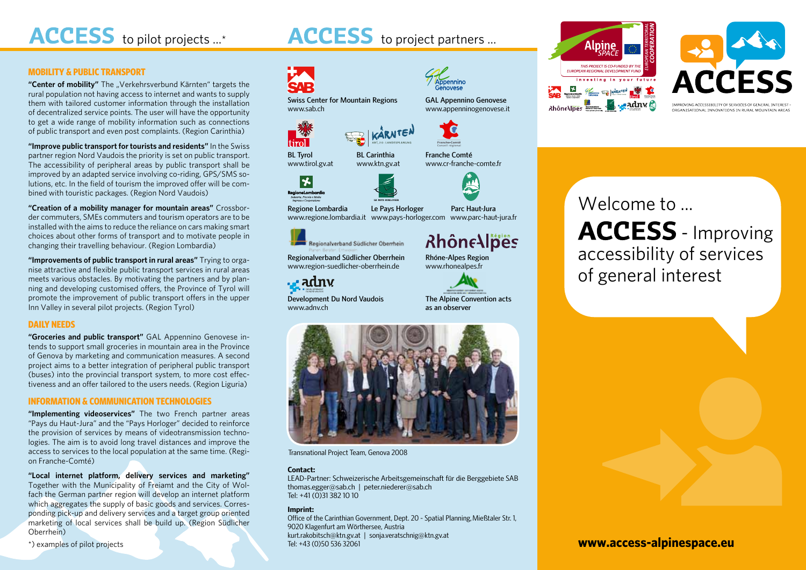ACCESS to pilot projects ...\* **ACCESS** to project partners ...

#### **MOBILITY & PUBLIC TRANSPORT**

"Center of mobility" The "Verkehrsverbund Kärnten" targets the rural population not having access to internet and wants to supply them with tailored customer information through the installation of decentralized service points. The user will have the opportunity to get a wide range of mobility information such as connections of public transport and even post complaints. (Region Carinthia)

**"Improve public transport for tourists and residents"** In the Swiss partner region Nord Vaudois the priority is set on public transport. The accessibility of peripheral areas by public transport shall be improved by an adapted service involving co-riding, GPS/SMS solutions, etc. In the field of tourism the improved offer will be combined with touristic packages. (Region Nord Vaudois)

**"Creation of a mobility manager for mountain areas"** Crossborder commuters, SMEs commuters and tourism operators are to be installed with the aims to reduce the reliance on cars making smart choices about other forms of transport and to motivate people in changing their travelling behaviour. (Region Lombardia)

**"Improvements of public transport in rural areas"** Trying to organise attractive and flexible public transport services in rural areas meets various obstacles. By motivating the partners and by planning and developing customised offers, the Province of Tyrol will promote the improvement of public transport offers in the upper Inn Valley in several pilot projects. (Region Tyrol)

#### **DAILY NEEDS**

**"Groceries and public transport"** GAL Appennino Genovese intends to support small groceries in mountain area in the Province of Genova by marketing and communication measures. A second project aims to a better integration of peripheral public transport (buses) into the provincial transport system, to more cost effectiveness and an offer tailored to the users needs. (Region Liguria)

#### **INFORMATION & COMMUNICATION TECHNOLOGIES**

**"Implementing videoservices"** The two French partner areas "Pays du Haut-Jura" and the "Pays Horloger" decided to reinforce the provision of services by means of videotransmission technologies. The aim is to avoid long travel distances and improve the access to services to the local population at the same time. (Region Franche-Comté)

**"Local internet platform, delivery services and marketing"**  Together with the Municipality of Freiamt and the City of Wolfach the German partner region will develop an internet platform which aggregates the supply of basic goods and services. Corresponding pick-up and delivery services and a target group oriented marketing of local services shall be build up. (Region Südlicher Oberrhein)

\*) examples of pilot projects







# Welcome to ... **ACCESS** - Improving accessibility of services of general interest



Transnational Project Team, Genova 2008

#### **Contact:**

LEAD-Partner: Schweizerische Arbeitsgemeinschaft für die Berggebiete SAB thomas.egger@sab.ch | peter.niederer@sab.ch Tel: +41 (0)31 382 10 10

#### **Imprint:**

Office of the Carinthian Government, Dept. 20 - Spatial Planning, Mießtaler Str. 1, 9020 Klagenfurt am Wörthersee, Austria kurt.rakobitsch@ktn.gv.at | sonja.veratschnig@ktn.gv.at Tel: +43 (0)50 536 32061

**www.access-alpinespace.eu**